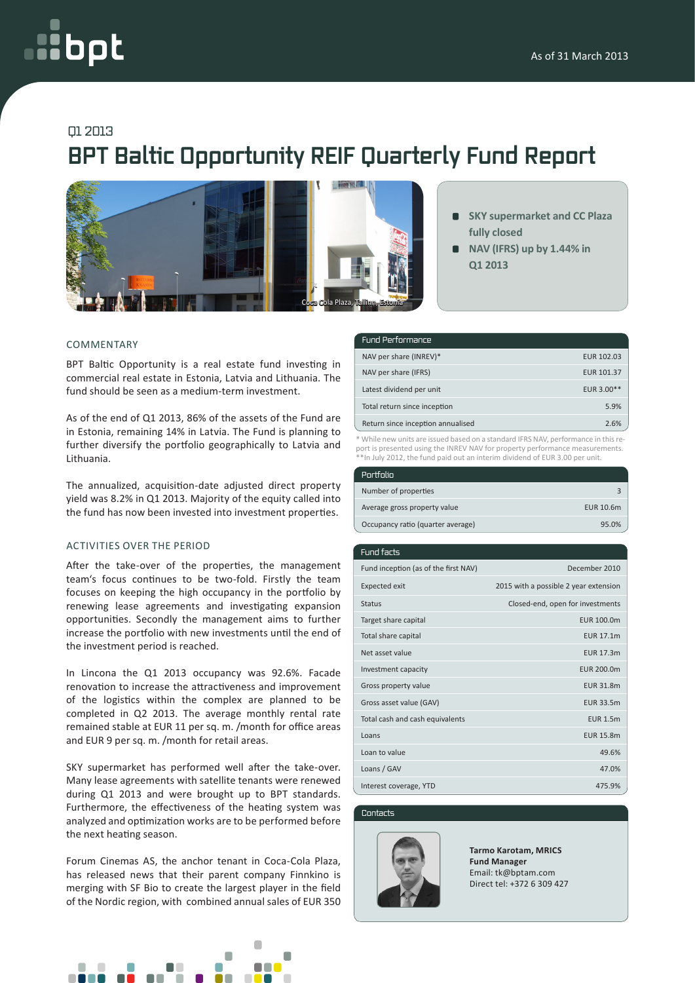# oct

### Q1 2013

## **BPT Baltic Opportunity REIF Quarterly Fund Report**



- **SKY supermarket and CC Plaza fully closed**
- **NAV (IFRS) up by 1.44% in Q1 2013**

#### COMMENTARY

BPT Baltic Opportunity is a real estate fund investing in commercial real estate in Estonia, Latvia and Lithuania. The fund should be seen as a medium-term investment.

As of the end of Q1 2013, 86% of the assets of the Fund are in Estonia, remaining 14% in Latvia. The Fund is planning to further diversify the portfolio geographically to Latvia and Lithuania.

The annualized, acquisition-date adjusted direct property yield was 8.2% in Q1 2013. Majority of the equity called into the fund has now been invested into investment properties.

#### ACTIVITIES OVER THE PERIOD

After the take-over of the properties, the management team's focus continues to be two-fold. Firstly the team focuses on keeping the high occupancy in the portfolio by renewing lease agreements and investigating expansion opportunities. Secondly the management aims to further increase the portfolio with new investments until the end of the investment period is reached.

In Lincona the Q1 2013 occupancy was 92.6%. Facade renovation to increase the attractiveness and improvement of the logistics within the complex are planned to be completed in Q2 2013. The average monthly rental rate remained stable at EUR 11 per sq. m. /month for office areas and EUR 9 per sq. m. /month for retail areas.

SKY supermarket has performed well after the take-over. Many lease agreements with satellite tenants were renewed during Q1 2013 and were brought up to BPT standards. Furthermore, the effectiveness of the heating system was analyzed and optimization works are to be performed before the next heating season.

Forum Cinemas AS, the anchor tenant in Coca-Cola Plaza, has released news that their parent company Finnkino is merging with SF Bio to create the largest player in the field of the Nordic region, with combined annual sales of EUR 350



| <b>Fund Performance</b>           |                   |
|-----------------------------------|-------------------|
| NAV per share (INREV)*            | EUR 102.03        |
| NAV per share (IFRS)              | <b>EUR 101.37</b> |
| Latest dividend per unit          | EUR 3.00**        |
| Total return since inception      | 5.9%              |
| Return since inception annualised | 2.6%              |

\* While new units are issued based on a standard IFRS NAV, performance in this report is presented using the INREV NAV for property performance measurements. \*\*In July 2012, the fund paid out an interim dividend of EUR 3.00 per unit.

| Portfolio                         |           |
|-----------------------------------|-----------|
| Number of properties              |           |
| Average gross property value      | EUR 10.6m |
| Occupancy ratio (quarter average) | 95.0%     |
|                                   |           |

| Fund facts                           |                                       |
|--------------------------------------|---------------------------------------|
| Fund inception (as of the first NAV) | December 2010                         |
| <b>Expected exit</b>                 | 2015 with a possible 2 year extension |
| <b>Status</b>                        | Closed-end, open for investments      |
| Target share capital                 | EUR 100.0m                            |
| Total share capital                  | <b>EUR 17.1m</b>                      |
| Net asset value                      | <b>EUR 17.3m</b>                      |
| Investment capacity                  | EUR 200.0m                            |
| Gross property value                 | <b>EUR 31.8m</b>                      |
| Gross asset value (GAV)              | <b>EUR 33.5m</b>                      |
| Total cash and cash equivalents      | <b>EUR 1.5m</b>                       |
| Loans                                | <b>EUR 15.8m</b>                      |
| Loan to value                        | 49.6%                                 |
| Loans / GAV                          | 47.0%                                 |
| Interest coverage, YTD               | 475.9%                                |

#### Contacts



**Tarmo Karotam, MRICS Fund Manager** Email: tk@bptam.com Direct tel: +372 6 309 427